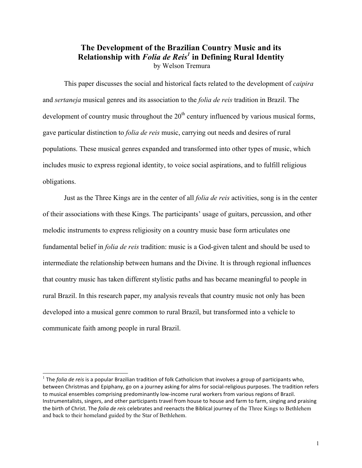# **The Development of the Brazilian Country Music and its Relationship with** *Folia de Reis<sup>1</sup>* **in Defining Rural Identity** by Welson Tremura

This paper discusses the social and historical facts related to the development of *caipira*  and *sertaneja* musical genres and its association to the *folia de reis* tradition in Brazil. The development of country music throughout the  $20<sup>th</sup>$  century influenced by various musical forms, gave particular distinction to *folia de reis* music, carrying out needs and desires of rural populations. These musical genres expanded and transformed into other types of music, which includes music to express regional identity, to voice social aspirations, and to fulfill religious obligations.

Just as the Three Kings are in the center of all *folia de reis* activities, song is in the center of their associations with these Kings. The participants' usage of guitars, percussion, and other melodic instruments to express religiosity on a country music base form articulates one fundamental belief in *folia de reis* tradition: music is a God-given talent and should be used to intermediate the relationship between humans and the Divine. It is through regional influences that country music has taken different stylistic paths and has became meaningful to people in rural Brazil. In this research paper, my analysis reveals that country music not only has been developed into a musical genre common to rural Brazil, but transformed into a vehicle to communicate faith among people in rural Brazil.

 $1$  The *folia de reis* is a popular Brazilian tradition of folk Catholicism that involves a group of participants who, between Christmas and Epiphany, go on a journey asking for alms for social-religious purposes. The tradition refers to musical ensembles comprising predominantly low-income rural workers from various regions of Brazil. Instrumentalists, singers, and other participants travel from house to house and farm to farm, singing and praising the birth of Christ. The *folia de reis* celebrates and reenacts the Biblical journey of the Three Kings to Bethlehem and back to their homeland guided by the Star of Bethlehem.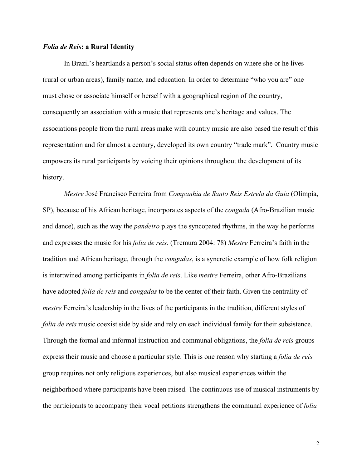#### *Folia de Reis***: a Rural Identity**

In Brazil's heartlands a person's social status often depends on where she or he lives (rural or urban areas), family name, and education. In order to determine "who you are" one must chose or associate himself or herself with a geographical region of the country, consequently an association with a music that represents one's heritage and values. The associations people from the rural areas make with country music are also based the result of this representation and for almost a century, developed its own country "trade mark". Country music empowers its rural participants by voicing their opinions throughout the development of its history.

*Mestre* José Francisco Ferreira from *Companhia de Santo Reis Estrela da Guia* (Olímpia, SP), because of his African heritage, incorporates aspects of the *congada* (Afro-Brazilian music and dance), such as the way the *pandeiro* plays the syncopated rhythms, in the way he performs and expresses the music for his *folia de reis*. (Tremura 2004: 78) *Mestre* Ferreira's faith in the tradition and African heritage, through the *congadas*, is a syncretic example of how folk religion is intertwined among participants in *folia de reis*. Like *mestre* Ferreira, other Afro-Brazilians have adopted *folia de reis* and *congadas* to be the center of their faith. Given the centrality of *mestre* Ferreira's leadership in the lives of the participants in the tradition, different styles of *folia de reis* music coexist side by side and rely on each individual family for their subsistence. Through the formal and informal instruction and communal obligations, the *folia de reis* groups express their music and choose a particular style. This is one reason why starting a *folia de reis* group requires not only religious experiences, but also musical experiences within the neighborhood where participants have been raised. The continuous use of musical instruments by the participants to accompany their vocal petitions strengthens the communal experience of *folia*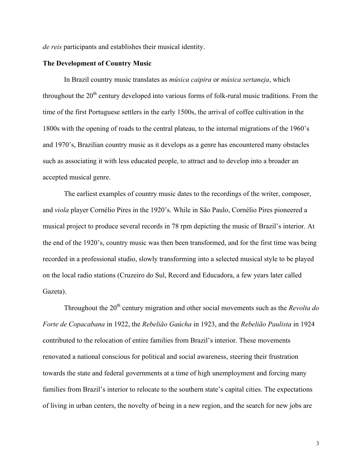*de reis* participants and establishes their musical identity.

#### **The Development of Country Music**

In Brazil country music translates as *música caipira* or *música sertaneja*, which throughout the  $20<sup>th</sup>$  century developed into various forms of folk-rural music traditions. From the time of the first Portuguese settlers in the early 1500s, the arrival of coffee cultivation in the 1800s with the opening of roads to the central plateau, to the internal migrations of the 1960's and 1970's, Brazilian country music as it develops as a genre has encountered many obstacles such as associating it with less educated people, to attract and to develop into a broader an accepted musical genre.

The earliest examples of country music dates to the recordings of the writer, composer, and *viola* player Cornélio Pires in the 1920's. While in São Paulo, Cornélio Pires pioneered a musical project to produce several records in 78 rpm depicting the music of Brazil's interior. At the end of the 1920's, country music was then been transformed, and for the first time was being recorded in a professional studio, slowly transforming into a selected musical style to be played on the local radio stations (Cruzeiro do Sul, Record and Educadora, a few years later called Gazeta).

Throughout the 20<sup>th</sup> century migration and other social movements such as the *Revolta do Forte de Copacabana* in 1922, the *Rebelião Gaúcha* in 1923, and the *Rebelião Paulista* in 1924 contributed to the relocation of entire families from Brazil's interior. These movements renovated a national conscious for political and social awareness, steering their frustration towards the state and federal governments at a time of high unemployment and forcing many families from Brazil's interior to relocate to the southern state's capital cities. The expectations of living in urban centers, the novelty of being in a new region, and the search for new jobs are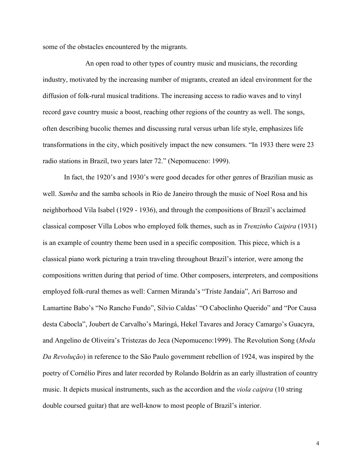some of the obstacles encountered by the migrants.

An open road to other types of country music and musicians, the recording industry, motivated by the increasing number of migrants, created an ideal environment for the diffusion of folk-rural musical traditions. The increasing access to radio waves and to vinyl record gave country music a boost, reaching other regions of the country as well. The songs, often describing bucolic themes and discussing rural versus urban life style, emphasizes life transformations in the city, which positively impact the new consumers. "In 1933 there were 23 radio stations in Brazil, two years later 72." (Nepomuceno: 1999).

In fact, the 1920's and 1930's were good decades for other genres of Brazilian music as well. *Samba* and the samba schools in Rio de Janeiro through the music of Noel Rosa and his neighborhood Vila Isabel (1929 - 1936), and through the compositions of Brazil's acclaimed classical composer Villa Lobos who employed folk themes, such as in *Trenzinho Caipira* (1931) is an example of country theme been used in a specific composition. This piece, which is a classical piano work picturing a train traveling throughout Brazil's interior, were among the compositions written during that period of time. Other composers, interpreters, and compositions employed folk-rural themes as well: Carmen Miranda's "Triste Jandaia", Ari Barroso and Lamartine Babo's "No Rancho Fundo", Silvio Caldas' "O Caboclinho Querido" and "Por Causa desta Cabocla", Joubert de Carvalho's Maringá, Hekel Tavares and Joracy Camargo's Guacyra, and Angelino de Oliveira's Tristezas do Jeca (Nepomuceno:1999). The Revolution Song (*Moda Da Revolução*) in reference to the São Paulo government rebellion of 1924, was inspired by the poetry of Cornélio Pires and later recorded by Rolando Boldrin as an early illustration of country music. It depicts musical instruments, such as the accordion and the *viola caipira* (10 string double coursed guitar) that are well-know to most people of Brazil's interior.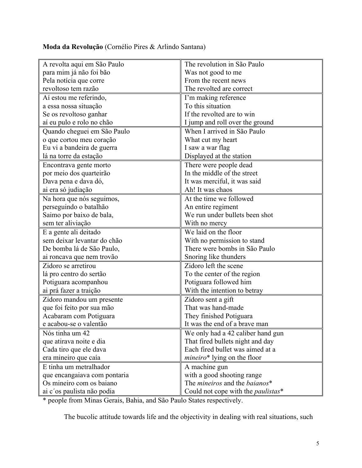**Moda da Revolução** (Cornélio Pires & Arlindo Santana)

| A revolta aqui em São Paulo  | The revolution in São Paulo                           |  |
|------------------------------|-------------------------------------------------------|--|
| para mim já não foi bão      | Was not good to me                                    |  |
| Pela notícia que corre       | From the recent news                                  |  |
| revoltoso tem razão          | The revolted are correct                              |  |
| Aí estou me referindo,       | I'm making reference                                  |  |
| a essa nossa situação        | To this situation                                     |  |
| Se os revoltoso ganhar       | If the revolted are to win                            |  |
| aí eu pulo e rolo no chão    | I jump and roll over the ground                       |  |
| Quando cheguei em São Paulo  | When I arrived in São Paulo                           |  |
| o que cortou meu coração     | What cut my heart                                     |  |
| Eu vi a bandeira de guerra   | I saw a war flag                                      |  |
| lá na torre da estação       | Displayed at the station                              |  |
| Encontrava gente morto       | There were people dead                                |  |
| por meio dos quarteirão      | In the middle of the street                           |  |
| Dava pena e dava dó,         | It was merciful, it was said                          |  |
| ai era só judiação           | Ah! It was chaos                                      |  |
| Na hora que nós seguimos,    | At the time we followed                               |  |
| perseguindo o batalhão       | An entire regiment                                    |  |
| Saimo por baixo de bala,     | We run under bullets been shot                        |  |
| sem ter aliviação            | With no mercy                                         |  |
| E a gente ali deitado        | We laid on the floor                                  |  |
| sem deixar levantar do chão  | With no permission to stand                           |  |
| De bomba lá de São Paulo,    | There were bombs in São Paulo                         |  |
| ai roncava que nem trovão    | Snoring like thunders                                 |  |
| Zidoro se arretirou          | Zidoro left the scene                                 |  |
| lá pro centro do sertão      | To the center of the region                           |  |
| Potiguara acompanhou         | Potiguara followed him                                |  |
| ai prá fazer a traição       | With the intention to betray                          |  |
| Zidoro mandou um presente    | Zidoro sent a gift                                    |  |
| que foi feito por sua mão    | That was hand-made                                    |  |
| Acabaram com Potiguara       | They finished Potiguara                               |  |
| e acabou-se o valentão       | It was the end of a brave man                         |  |
| Nós tinha um 42              | We only had a 42 caliber hand gun                     |  |
| que atirava noite e dia      | That fired bullets night and day                      |  |
| Cada tiro que ele dava       | Each fired bullet was aimed at a                      |  |
| era mineiro que caía         | <i>mineiro*</i> lying on the floor                    |  |
| E tinha um metralhador       | A machine gun                                         |  |
| que encangaiava com pontaria | with a good shooting range                            |  |
| Os mineiro com os baiano     | The <i>mineiros</i> and the <i>baianos</i> *          |  |
| ai c'os paulista não podia   | Could not cope with the <i>paulistas</i> <sup>*</sup> |  |

\* people from Minas Gerais, Bahia, and São Paulo States respectively.

The bucolic attitude towards life and the objectivity in dealing with real situations, such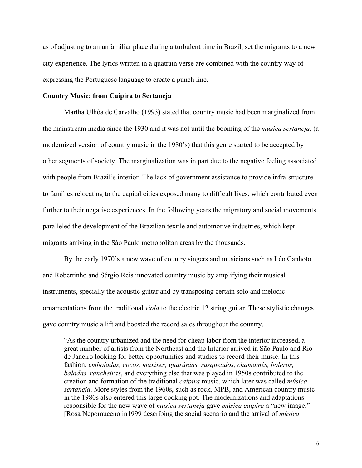as of adjusting to an unfamiliar place during a turbulent time in Brazil, set the migrants to a new city experience. The lyrics written in a quatrain verse are combined with the country way of expressing the Portuguese language to create a punch line.

## **Country Music: from Caipira to Sertaneja**

Martha Ulhôa de Carvalho (1993) stated that country music had been marginalized from the mainstream media since the 1930 and it was not until the booming of the *música sertaneja*, (a modernized version of country music in the 1980's) that this genre started to be accepted by other segments of society. The marginalization was in part due to the negative feeling associated with people from Brazil's interior. The lack of government assistance to provide infra-structure to families relocating to the capital cities exposed many to difficult lives, which contributed even further to their negative experiences. In the following years the migratory and social movements paralleled the development of the Brazilian textile and automotive industries, which kept migrants arriving in the São Paulo metropolitan areas by the thousands.

By the early 1970's a new wave of country singers and musicians such as Léo Canhoto and Robertinho and Sérgio Reis innovated country music by amplifying their musical instruments, specially the acoustic guitar and by transposing certain solo and melodic ornamentations from the traditional *viola* to the electric 12 string guitar. These stylistic changes gave country music a lift and boosted the record sales throughout the country.

"As the country urbanized and the need for cheap labor from the interior increased, a great number of artists from the Northeast and the Interior arrived in São Paulo and Rio de Janeiro looking for better opportunities and studios to record their music. In this fashion, *emboladas, cocos, maxixes, guarânias, rasqueados, chamamés, boleros, baladas, rancheiras*, and everything else that was played in 1950s contributed to the creation and formation of the traditional *caipira* music, which later was called *música sertaneja*. More styles from the 1960s, such as rock, MPB, and American country music in the 1980s also entered this large cooking pot. The modernizations and adaptations responsible for the new wave of *música sertaneja* gave *música caipira* a "new image." [Rosa Nepomuceno in1999 describing the social scenario and the arrival of *música*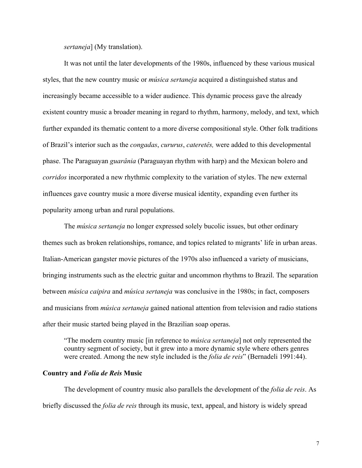*sertaneja*] (My translation).

It was not until the later developments of the 1980s, influenced by these various musical styles, that the new country music or *música sertaneja* acquired a distinguished status and increasingly became accessible to a wider audience. This dynamic process gave the already existent country music a broader meaning in regard to rhythm, harmony, melody, and text, which further expanded its thematic content to a more diverse compositional style. Other folk traditions of Brazil's interior such as the *congadas*, *cururus*, *cateretês,* were added to this developmental phase. The Paraguayan *guarânia* (Paraguayan rhythm with harp) and the Mexican bolero and *corridos* incorporated a new rhythmic complexity to the variation of styles. The new external influences gave country music a more diverse musical identity, expanding even further its popularity among urban and rural populations.

The *música sertaneja* no longer expressed solely bucolic issues, but other ordinary themes such as broken relationships, romance, and topics related to migrants' life in urban areas. Italian-American gangster movie pictures of the 1970s also influenced a variety of musicians, bringing instruments such as the electric guitar and uncommon rhythms to Brazil. The separation between *música caipira* and *música sertaneja* was conclusive in the 1980s; in fact, composers and musicians from *música sertaneja* gained national attention from television and radio stations after their music started being played in the Brazilian soap operas.

"The modern country music [in reference to *música sertaneja*] not only represented the country segment of society, but it grew into a more dynamic style where others genres were created. Among the new style included is the *folia de reis*" (Bernadeli 1991:44).

## **Country and** *Folia de Reis* **Music**

The development of country music also parallels the development of the *folia de reis*. As briefly discussed the *folia de reis* through its music, text, appeal, and history is widely spread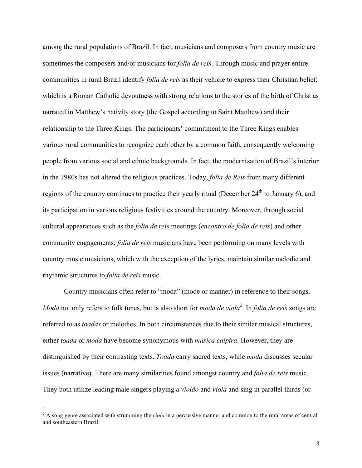among the rural populations of Brazil. In fact, musicians and composers from country music are sometimes the composers and/or musicians for *folia de reis*. Through music and prayer entire communities in rural Brazil identify *folia de reis* as their vehicle to express their Christian belief, which is a Roman Catholic devoutness with strong relations to the stories of the birth of Christ as narrated in Matthew's nativity story (the Gospel according to Saint Matthew) and their relationship to the Three Kings. The participants' commitment to the Three Kings enables various rural communities to recognize each other by a common faith, consequently welcoming people from various social and ethnic backgrounds. In fact, the modernization of Brazil's interior in the 1980s has not altered the religious practices. Today, *folia de Reis* from many different regions of the country continues to practice their yearly ritual (December  $24<sup>th</sup>$  to January 6), and its participation in various religious festivities around the country. Moreover, through social cultural appearances such as the *folia de reis* meetings (*encontro de folia de reis*) and other community engagements, *folia de reis* musicians have been performing on many levels with country music musicians, which with the exception of the lyrics, maintain similar melodic and rhythmic structures to *folia de reis* music.

Country musicians often refer to "moda" (mode or manner) in reference to their songs. *Moda* not only refers to folk tunes, but is also short for *moda de viola*<sup>2</sup>. In *folia de reis* songs are referred to as *toadas* or melodies. In both circumstances due to their similar musical structures, either *toada* or *moda* have become synonymous with *música caipira*. However, they are distinguished by their contrasting texts. *Toada* carry sacred texts, while *moda* discusses secular issues (narrative). There are many similarities found amongst country and *folia de reis* music. They both utilize leading male singers playing a *violão* and *viola* and sing in parallel thirds (or

<sup>&</sup>lt;sup>2</sup> A song genre associated with strumming the *viola* in a percussive manner and common to the rural areas of central and southeastern Brazil.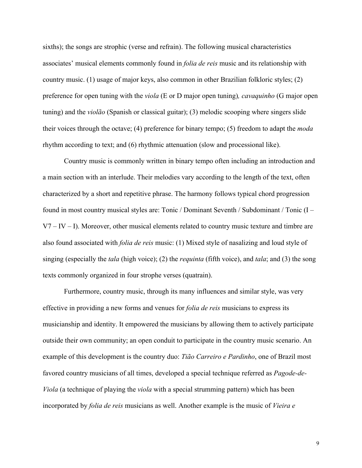sixths); the songs are strophic (verse and refrain). The following musical characteristics associates' musical elements commonly found in *folia de reis* music and its relationship with country music. (1) usage of major keys, also common in other Brazilian folkloric styles; (2) preference for open tuning with the *viola* (E or D major open tuning)*, cavaquinho* (G major open tuning) and the *violão* (Spanish or classical guitar); (3) melodic scooping where singers slide their voices through the octave; (4) preference for binary tempo; (5) freedom to adapt the *moda*  rhythm according to text; and (6) rhythmic attenuation (slow and processional like).

Country music is commonly written in binary tempo often including an introduction and a main section with an interlude. Their melodies vary according to the length of the text, often characterized by a short and repetitive phrase. The harmony follows typical chord progression found in most country musical styles are: Tonic / Dominant Seventh / Subdominant / Tonic (I –  $V7 - IV - I$ ). Moreover, other musical elements related to country music texture and timbre are also found associated with *folia de reis* music: (1) Mixed style of nasalizing and loud style of singing (especially the *tala* (high voice); (2) the *requinta* (fifth voice), and *tala*; and (3) the song texts commonly organized in four strophe verses (quatrain).

Furthermore, country music, through its many influences and similar style, was very effective in providing a new forms and venues for *folia de reis* musicians to express its musicianship and identity. It empowered the musicians by allowing them to actively participate outside their own community; an open conduit to participate in the country music scenario. An example of this development is the country duo: *Tião Carreiro e Pardinho*, one of Brazil most favored country musicians of all times, developed a special technique referred as *Pagode-de-Viola* (a technique of playing the *viola* with a special strumming pattern) which has been incorporated by *folia de reis* musicians as well. Another example is the music of *Vieira e* 

9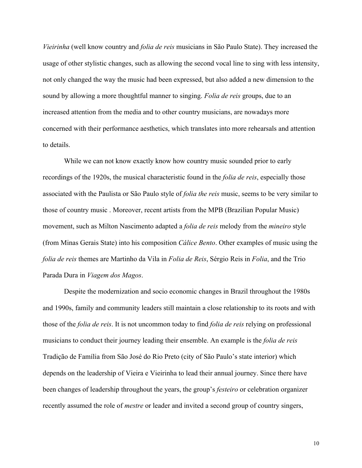*Vieirinha* (well know country and *folia de reis* musicians in São Paulo State). They increased the usage of other stylistic changes, such as allowing the second vocal line to sing with less intensity, not only changed the way the music had been expressed, but also added a new dimension to the sound by allowing a more thoughtful manner to singing. *Folia de reis* groups, due to an increased attention from the media and to other country musicians, are nowadays more concerned with their performance aesthetics, which translates into more rehearsals and attention to details.

While we can not know exactly know how country music sounded prior to early recordings of the 1920s, the musical characteristic found in the *folia de reis*, especially those associated with the Paulista or São Paulo style of *folia the reis* music, seems to be very similar to those of country music . Moreover, recent artists from the MPB (Brazilian Popular Music) movement, such as Milton Nascimento adapted a *folia de reis* melody from the *mineiro* style (from Minas Gerais State) into his composition *Cálice Bento*. Other examples of music using the *folia de reis* themes are Martinho da Vila in *Folia de Reis*, Sérgio Reis in *Folia*, and the Trio Parada Dura in *Viagem dos Magos*.

Despite the modernization and socio economic changes in Brazil throughout the 1980s and 1990s, family and community leaders still maintain a close relationship to its roots and with those of the *folia de reis*. It is not uncommon today to find *folia de reis* relying on professional musicians to conduct their journey leading their ensemble. An example is the *folia de reis* Tradição de Família from São José do Rio Preto (city of São Paulo's state interior) which depends on the leadership of Vieira e Vieirinha to lead their annual journey. Since there have been changes of leadership throughout the years, the group's *festeiro* or celebration organizer recently assumed the role of *mestre* or leader and invited a second group of country singers,

10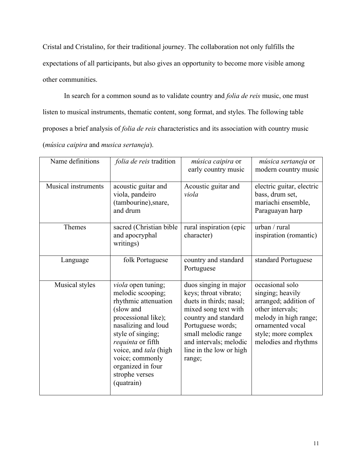Cristal and Cristalino, for their traditional journey. The collaboration not only fulfills the expectations of all participants, but also gives an opportunity to become more visible among other communities.

In search for a common sound as to validate country and *folia de reis* music, one must listen to musical instruments, thematic content, song format, and styles. The following table proposes a brief analysis of *folia de reis* characteristics and its association with country music (*música caipira* and *musica sertaneja*).

| Name definitions    | folia de reis tradition                                                                                                                                                                                                                                               | música caipira or<br>early country music                                                                                                                                                                                             | música sertaneja or<br>modern country music                                                                                                                                  |
|---------------------|-----------------------------------------------------------------------------------------------------------------------------------------------------------------------------------------------------------------------------------------------------------------------|--------------------------------------------------------------------------------------------------------------------------------------------------------------------------------------------------------------------------------------|------------------------------------------------------------------------------------------------------------------------------------------------------------------------------|
| Musical instruments | acoustic guitar and<br>viola, pandeiro<br>(tambourine), snare,<br>and drum                                                                                                                                                                                            | Acoustic guitar and<br>viola                                                                                                                                                                                                         | electric guitar, electric<br>bass, drum set,<br>mariachi ensemble,<br>Paraguayan harp                                                                                        |
| Themes              | sacred (Christian bible<br>and apocryphal<br>writings)                                                                                                                                                                                                                | rural inspiration (epic<br>character)                                                                                                                                                                                                | urban / rural<br>inspiration (romantic)                                                                                                                                      |
| Language            | folk Portuguese                                                                                                                                                                                                                                                       | country and standard<br>Portuguese                                                                                                                                                                                                   | standard Portuguese                                                                                                                                                          |
| Musical styles      | viola open tuning;<br>melodic scooping;<br>rhythmic attenuation<br>(slow and<br>processional like);<br>nasalizing and loud<br>style of singing;<br>requinta or fifth<br>voice, and tala (high<br>voice; commonly<br>organized in four<br>strophe verses<br>(quatrain) | duos singing in major<br>keys; throat vibrato;<br>duets in thirds; nasal;<br>mixed song text with<br>country and standard<br>Portuguese words;<br>small melodic range<br>and intervals; melodic<br>line in the low or high<br>range; | occasional solo<br>singing; heavily<br>arranged; addition of<br>other intervals;<br>melody in high range;<br>ornamented vocal<br>style; more complex<br>melodies and rhythms |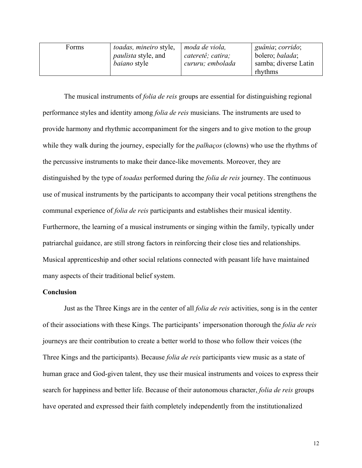| Forms | <i>toadas, mineiro style,</i> | moda de viola,    | guânia; corrido;        |
|-------|-------------------------------|-------------------|-------------------------|
|       |                               |                   |                         |
|       | <i>paulista</i> style, and    | cateretê; catira; | bolero; <i>balada</i> ; |
|       |                               |                   |                         |
|       | <i>baiano</i> style           | cururu; embolada  | samba; diverse Latin    |
|       |                               |                   | rhythms                 |
|       |                               |                   |                         |

The musical instruments of *folia de reis* groups are essential for distinguishing regional performance styles and identity among *folia de reis* musicians. The instruments are used to provide harmony and rhythmic accompaniment for the singers and to give motion to the group while they walk during the journey, especially for the *palhaços* (clowns) who use the rhythms of the percussive instruments to make their dance-like movements. Moreover, they are distinguished by the type of *toadas* performed during the *folia de reis* journey. The continuous use of musical instruments by the participants to accompany their vocal petitions strengthens the communal experience of *folia de reis* participants and establishes their musical identity. Furthermore, the learning of a musical instruments or singing within the family, typically under patriarchal guidance, are still strong factors in reinforcing their close ties and relationships. Musical apprenticeship and other social relations connected with peasant life have maintained many aspects of their traditional belief system.

## **Conclusion**

Just as the Three Kings are in the center of all *folia de reis* activities, song is in the center of their associations with these Kings. The participants' impersonation thorough the *folia de reis* journeys are their contribution to create a better world to those who follow their voices (the Three Kings and the participants). Because *folia de reis* participants view music as a state of human grace and God-given talent, they use their musical instruments and voices to express their search for happiness and better life. Because of their autonomous character, *folia de reis* groups have operated and expressed their faith completely independently from the institutionalized